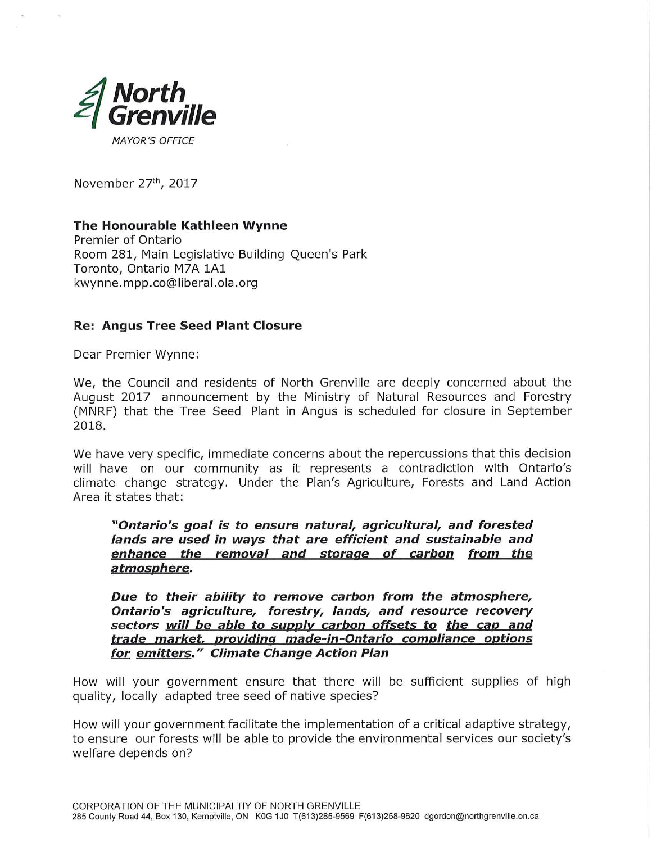

November 27th, 2017

## The Honourable Kathleen Wynne

Premier of Ontario Room 281, Main Legislative Building Queen's Park Toronto, Ontario M7A 1A1 kwynne.mpp.co@liberal.ola.org

## Re: Angus Tree Seed Plant Closure

Dear Premier Wynne:

We, the Council and residents of North Grenville are deeply concerned about the August 2017 announcement by the Ministry of Natural Resources and Forestry (MNRF) that the Tree Seed Plant in Angus is scheduled for closure in September 2018.

We have very specific, immediate concerns about the repercussions that this decision will have on our community as it represents a contradiction with Ontario's climate change strategy. Under the Plan's Agriculture, Forests and Land Action Area it states that:

## "Ontario's goal is to ensure natural, agricultural, and forested lands are used in ways that are efficient and sustainable and enhance the removal and storage of carbon from the atmosphere.

Due to their ability to remove carbon from the atmosphere, Ontario's agriculture, forestry, lands, and resource recovery sectors will be able to supply carbon offsets to the cap and trade market, providing made-in-Ontario compliance options for emitters." Climate Change Action Plan

How will your government ensure that there will be sufficient supplies of high quality, locally adapted tree seed of native species?

How will your government facilitate the implementation of a critical adaptive strategy, to ensure our forests will be able to provide the environmental services our society's welfare depends on?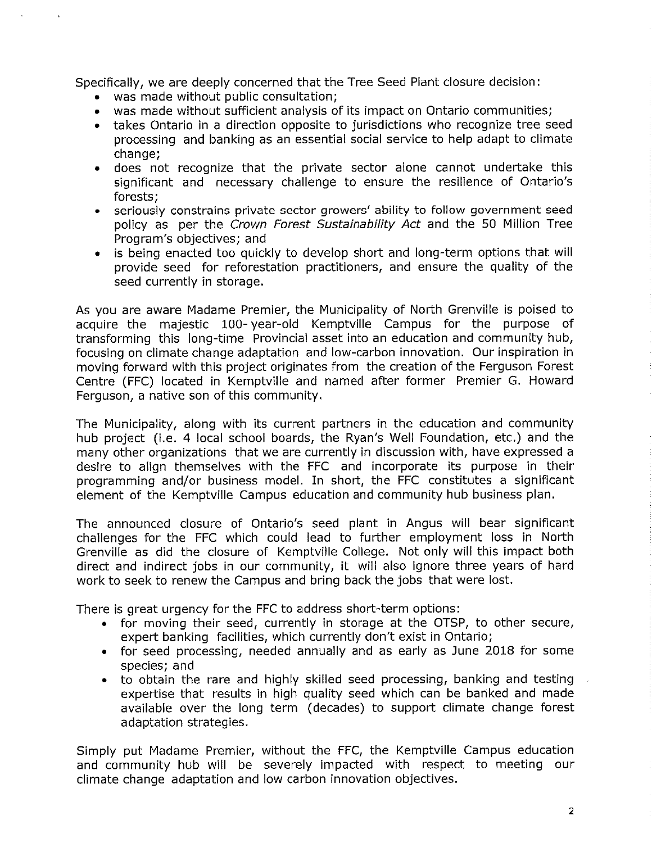Specifically, we are deeply concerned that the Tree Seed Plant closure decision:

- was made without public consultation;
- was made without sufficient analysis of its impact on Ontario communities;
- takes Ontario in a direction opposite to jurisdictions who recognize tree seed processing and banking as an essential social service to help adapt to climate change;
- does not recognize that the private sector alone cannot undertake this significant and necessary challenge to ensure the resilience of Ontario's forests;
- seriousiy constrains private sector growers' ability to follow government seed policy as per the Crown Forest Sustainability Act and the 50 Million Tree Program's objectives; and
- is being enacted too quickly to develop short and long-term options that will provide seed for reforestation practitioners, and ensure the quality of the seed currently in storage.

As you are aware Madame Premier, the Municipality of North Grenville is poised to acquire the majestic 100- year-old Kemptville Campus for the purpose of transforming this long-time Provincial asset into an education and community hub, focusing on climate change adaptation and low-carbon innovation. Our inspiration in moving forward with this project originates from the creation of the Ferguson Forest Centre (FFC) located in Kemptvilie and named after former Premier G. Howard Ferguson, a native son of this community.

The Municipality, along with its current partners in the education and community hub project (i.e. 4 local school boards, the Ryan's Well Foundation, etc.) and the many other organizations that we are currently in discussion with, have expressed a desire to align themselves with the FFC and incorporate its purpose in their programming and/or business model. In short, the FFC constitutes a significant element of the Kemptviile Campus education and community hub business plan.

The announced closure of Ontario's seed plant in Angus will bear significant challenges for the FFC which could iead to further employment loss in North Grenville as did the closure of Kemptville College. Not only will this impact both direct and indirect jobs in our community, it will also ignore three years of hard work to seek to renew the Campus and bring back the jobs that were lost.

There is great urgency for the FFC to address short-term options:

- for moving their seed, currently in storage at the OTSP, to other secure, expert banking facilities, which currently don't exist in Ontario;
- for seed processing, needed annually and as early as June 2018 for some species; and
- to obtain the rare and highly skilled seed processing, banking and testing expertise that results in high quality seed which can be banked and made available over the long term (decades) to support climate change forest adaptation strategies.

Simply put Madame Premier, without the FFC, the Kemptville Campus education and community hub will be severely impacted with respect to meeting our climate change adaptation and low carbon innovation objectives.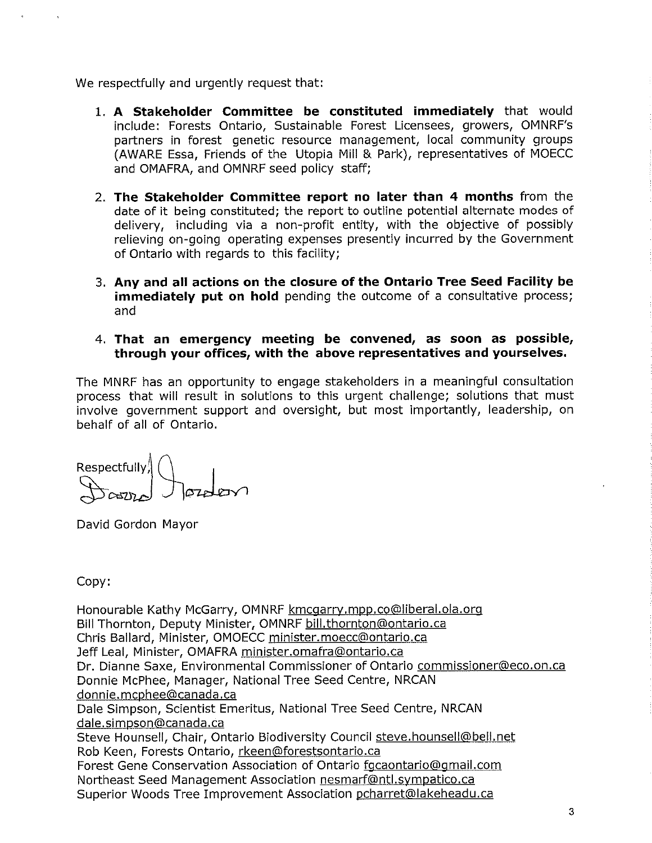We respectfully and urgently request that:

- 1. A Stakeholder Committee be constituted immediately that would include: Forests Ontario, Sustainable Forest Licensees, growers, OMNRF's partners in forest genetic resource management, local community groups (AWARE Essa, Friends of the Utopia Mill & Park), representatives of MOECC and OMAFRA, and OMNRF seed policy staff;
- 2. The Stakeholder Committee report no later than 4 months from the date of it being constituted; the report to outline potential alternate modes of delivery, including via a non-profit entity, with the objective of possibly relieving on-going operating expenses presently incurred by the Government of Ontario with regards to this facility;
- 3. Any and all actions on the closure of the Ontario Tree Seed Facility be **immediately put on hold** pending the outcome of a consultative process; and
- 4. That an emergency meeting be convened, as soon as possible, through your offices, with the above representatives and yourselves.

The MNRF has an opportunity to engage stakeholders in a meaningful consultation process that will result in solutions to this urgent challenge; solutions that must involve government support and oversight, but most importantly, leadership, on behalf of all of Ontario.

Respectfully/l  $\sigma$  $\sim$  J  $\sigma$ zale $\sim$ 

David Gordon Mayor

Copy:

Honourable Kathy McGarry, OMNRF kmcgarry.mpp.co@liberal.ola.org Bill Thornton, Deputy Minister, OMNRF bill.thornton@ontario.ca Chris Ballard, Minister, OMOECC minister. moecc@ontario.ca Jeff Leal, Minister, OMAFRA minister.omafra@ontario.ca Dr. Dianne Saxe, Environmental Commissioner of Ontario commissioner@eco.on.ca Donnie McPhee, Manager, National Tree Seed Centre, NRCAN donnie.mcphee@canada.ca Dale Simpson, Scientist Emeritus, National Tree Seed Centre, NRCAN dale.simpson@canada.ca Steve Hounsell, Chair, Ontario Biodiversity Council steve.hounsell@bell.net Rob Keen, Forests Ontario, rkeen@forestsontario.ca Forest Gene Conservation Association of Ontario fgcaontario@gmail.com Northeast Seed Management Association nesmarf@ntl.sympatico.ca Superior Woods Tree Improvement Association pcharret@lakeheadu.ca